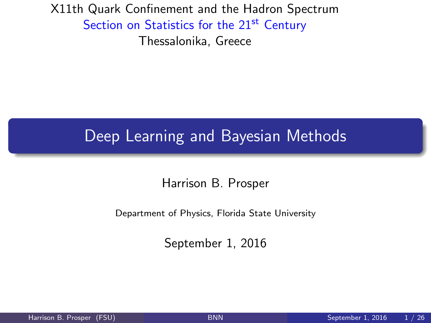X11th Quark Confinement and the Hadron Spectrum Section on Statistics for the 21<sup>st</sup> Century Thessalonika, Greece

#### Deep Learning and Bayesian Methods

Harrison B. Prosper

Department of Physics, Florida State University

<span id="page-0-0"></span>September 1, 2016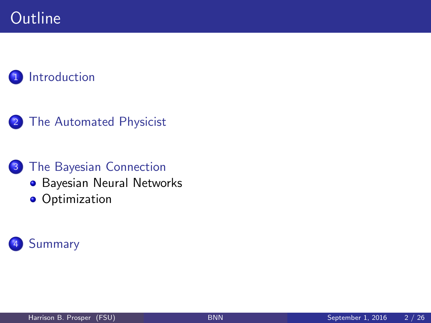# **Outline**

#### **[Introduction](#page-2-0)**

#### 2 [The Automated Physicist](#page-18-0)

#### 3 [The Bayesian Connection](#page-34-0)

- **•** [Bayesian Neural Networks](#page-37-0)
- **•** [Optimization](#page-42-0)

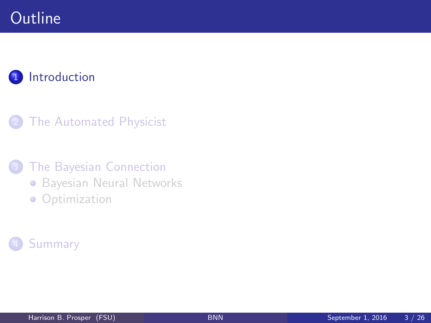# **Outline**

## **[Introduction](#page-2-0)**

#### **[The Automated Physicist](#page-18-0)**

#### **[The Bayesian Connection](#page-34-0)**

- **[Bayesian Neural Networks](#page-37-0)**
- <span id="page-2-0"></span>**•** [Optimization](#page-42-0)

## **[Summary](#page-44-0)**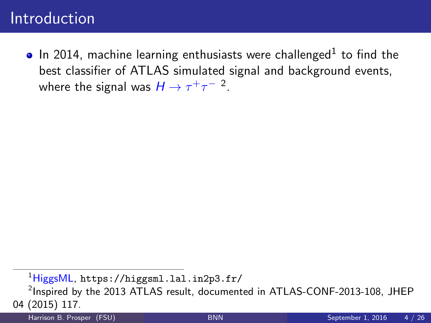In 2014, machine learning enthusiasts were challenged $^1$  to find the best classifier of ATLAS simulated signal and background events, where the signal was  $H\to \tau^+\tau^-$  <sup>2</sup>.

<sup>&</sup>lt;sup>1</sup>HiggsML, <https://higgsml.lal.in2p3.fr/>

 $^2$ Inspired by the 2013 ATLAS result, documented in ATLAS-CONF-2013-108, JHEP 04 (2015) 117.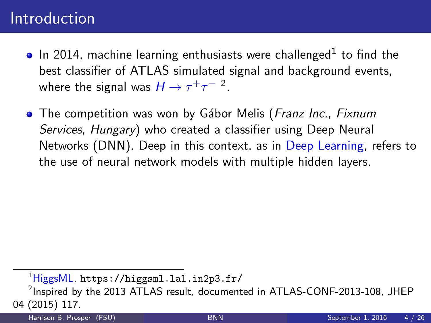- In 2014, machine learning enthusiasts were challenged $^1$  to find the best classifier of ATLAS simulated signal and background events, where the signal was  $H\to \tau^+\tau^-$  <sup>2</sup>.
- The competition was won by Gábor Melis (Franz Inc., Fixnum Services, Hungary) who created a classifier using Deep Neural Networks (DNN). Deep in this context, as in Deep Learning, refers to the use of neural network models with multiple hidden layers.

<sup>1</sup>HiggsML, <https://higgsml.lal.in2p3.fr/>

 $^2$ Inspired by the 2013 ATLAS result, documented in ATLAS-CONF-2013-108, JHEP 04 (2015) 117.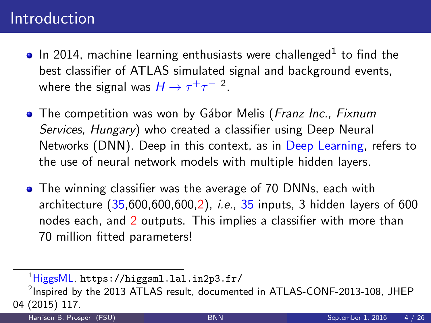- In 2014, machine learning enthusiasts were challenged $^1$  to find the best classifier of ATLAS simulated signal and background events, where the signal was  $H\to \tau^+\tau^-$  <sup>2</sup>.
- The competition was won by Gábor Melis (Franz Inc., Fixnum Services, Hungary) who created a classifier using Deep Neural Networks (DNN). Deep in this context, as in Deep Learning, refers to the use of neural network models with multiple hidden layers.
- **•** The winning classifier was the average of 70 DNNs, each with architecture  $(35,600,600,600,2)$ , *i.e.*,  $35$  inputs, 3 hidden layers of 600 nodes each, and 2 outputs. This implies a classifier with more than 70 million fitted parameters!

<sup>&</sup>lt;sup>1</sup>HiggsML, <https://higgsml.lal.in2p3.fr/>

 $^2$ Inspired by the 2013 ATLAS result, documented in ATLAS-CONF-2013-108, JHEP 04 (2015) 117.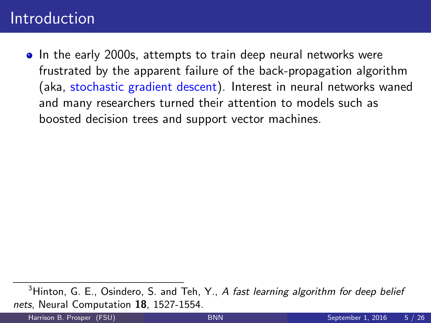• In the early 2000s, attempts to train deep neural networks were frustrated by the apparent failure of the back-propagation algorithm (aka, stochastic gradient descent). Interest in neural networks waned and many researchers turned their attention to models such as boosted decision trees and support vector machines.

 $3$ Hinton, G. E., Osindero, S. and Teh, Y., A fast learning algorithm for deep belief nets. Neural Computation 18, 1527-1554.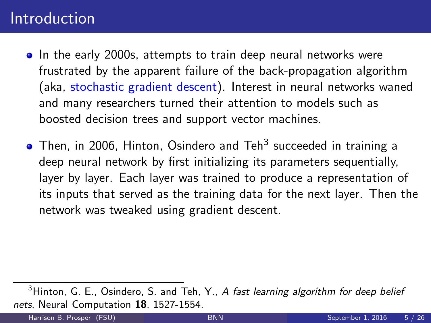- In the early 2000s, attempts to train deep neural networks were frustrated by the apparent failure of the back-propagation algorithm (aka, stochastic gradient descent). Interest in neural networks waned and many researchers turned their attention to models such as boosted decision trees and support vector machines.
- Then, in 2006, Hinton, Osindero and Teh $^3$  succeeded in training a deep neural network by first initializing its parameters sequentially, layer by layer. Each layer was trained to produce a representation of its inputs that served as the training data for the next layer. Then the network was tweaked using gradient descent.

 $3$ Hinton, G. E., Osindero, S. and Teh, Y., A fast learning algorithm for deep belief nets. Neural Computation 18, 1527-1554.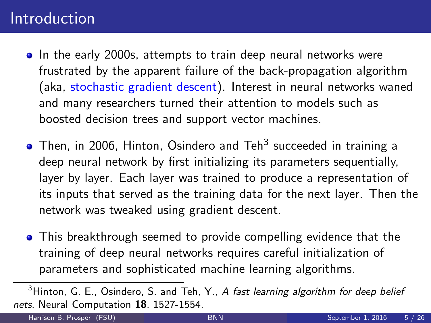- In the early 2000s, attempts to train deep neural networks were frustrated by the apparent failure of the back-propagation algorithm (aka, stochastic gradient descent). Interest in neural networks waned and many researchers turned their attention to models such as boosted decision trees and support vector machines.
- Then, in 2006, Hinton, Osindero and Teh $^3$  succeeded in training a deep neural network by first initializing its parameters sequentially, layer by layer. Each layer was trained to produce a representation of its inputs that served as the training data for the next layer. Then the network was tweaked using gradient descent.
- **•** This breakthrough seemed to provide compelling evidence that the training of deep neural networks requires careful initialization of parameters and sophisticated machine learning algorithms.

 $3$ Hinton, G. E., Osindero, S. and Teh, Y., A fast learning algorithm for deep belief nets. Neural Computation 18, 1527-1554.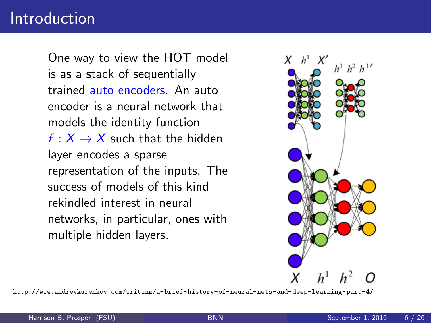One way to view the HOT model is as a stack of sequentially trained auto encoders. An auto encoder is a neural network that models the identity function  $f: X \rightarrow X$  such that the hidden layer encodes a sparse representation of the inputs. The success of models of this kind rekindled interest in neural networks, in particular, ones with multiple hidden layers.



<http://www.andreykurenkov.com/writing/a-brief-history-of-neural-nets-and-deep-learning-part-4/>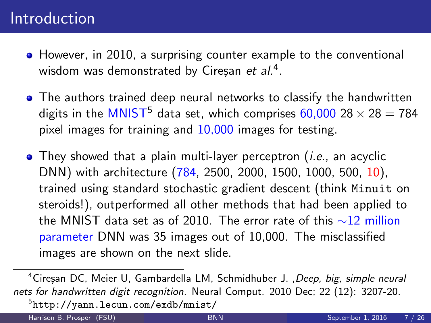- However, in 2010, a surprising counter example to the conventional wisdom was demonstrated by Cireșan *et al.*<sup>4</sup>.
- The authors trained deep neural networks to classify the handwritten digits in the MNIST<sup>5</sup> data set, which comprises  $60,000$  28  $\times$  28 = 784 pixel images for training and 10,000 images for testing.
- $\bullet$  They showed that a plain multi-layer perceptron (*i.e.*, an acyclic DNN) with architecture (784, 2500, 2000, 1500, 1000, 500, 10), trained using standard stochastic gradient descent (think Minuit on steroids!), outperformed all other methods that had been applied to the MNIST data set as of 2010. The error rate of this  $\sim$ 12 million parameter DNN was 35 images out of 10,000. The misclassified images are shown on the next slide.

<sup>&</sup>lt;sup>4</sup>Ciresan DC, Meier U, Gambardella LM, Schmidhuber J., Deep, big, simple neural nets for handwritten digit recognition. Neural Comput. 2010 Dec; 22 (12): 3207-20. 5 <http://yann.lecun.com/exdb/mnist/>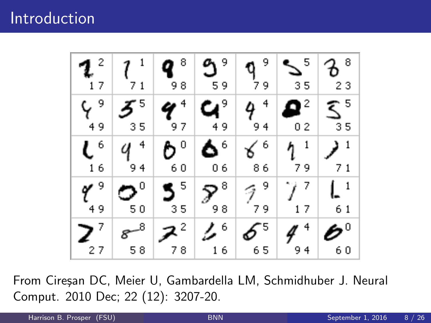| $\mathbf{1}^{\mathsf{2}}$ | $\mathbf{1}$<br>1   | 8<br>Q         | -9<br>g         | 9<br>9          | 5                 | -8<br>ъ        |
|---------------------------|---------------------|----------------|-----------------|-----------------|-------------------|----------------|
| 17                        | 71                  | 98             | 59              | 79              | 35                | 23             |
| ५१                        | $\boldsymbol{z}$    | 4<br>q         | $\mathbf{C}$    | q +             | g                 | S 5            |
| 49                        | 35                  | 97             | 49              | 94              | 02                | 35             |
| $\mathcal{L}_{_{16}}$     | $\overline{4}$<br>q | o.             | ہ م             | ४ '             | $\mathbf{1}$<br>η | $\overline{1}$ |
|                           | 94                  | 60             | 06              | 86              | 79                | 71             |
| q °                       | $\bullet^\circ$     | $\frac{5}{35}$ | $\mathcal{P}^3$ | 9<br>9          |                   | $\mathsf{L}^1$ |
| 49                        | 50                  |                | .<br>98         | ,<br>79         | 17                | 61             |
| -7<br>2                   | $8^{-8}$            |                | 6               | $\mathcal{E}^5$ | 4                 | - 0            |
| 27                        | 58                  | 78             | 16              | 65              | 94                | 60             |

Comput. 2010 Dec; 22 (12): 3207-20. From Cireșan DC, Meier U, Gambardella LM, Schmidhuber J. Neural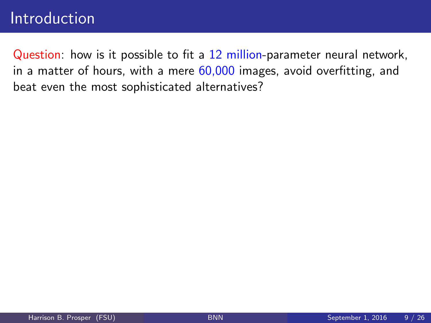Question: how is it possible to fit a 12 million-parameter neural network, in a matter of hours, with a mere 60,000 images, avoid overfitting, and beat even the most sophisticated alternatives?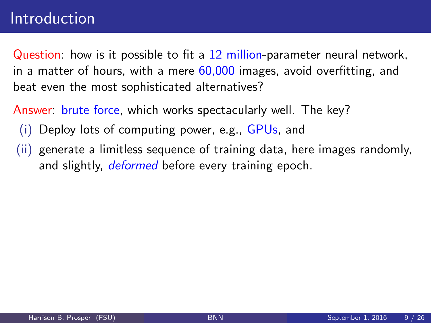Question: how is it possible to fit a 12 million-parameter neural network, in a matter of hours, with a mere 60,000 images, avoid overfitting, and beat even the most sophisticated alternatives?

Answer: brute force, which works spectacularly well. The key?

- (i) Deploy lots of computing power, e.g., GPUs, and
- (ii) generate a limitless sequence of training data, here images randomly, and slightly, *deformed* before every training epoch.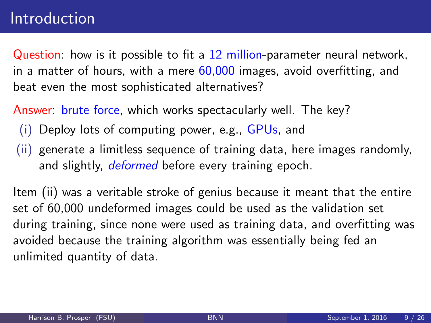Question: how is it possible to fit a 12 million-parameter neural network, in a matter of hours, with a mere 60,000 images, avoid overfitting, and beat even the most sophisticated alternatives?

Answer: brute force, which works spectacularly well. The key?

- (i) Deploy lots of computing power, e.g., GPUs, and
- (ii) generate a limitless sequence of training data, here images randomly, and slightly. deformed before every training epoch.

Item (ii) was a veritable stroke of genius because it meant that the entire set of 60,000 undeformed images could be used as the validation set during training, since none were used as training data, and overfitting was avoided because the training algorithm was essentially being fed an unlimited quantity of data.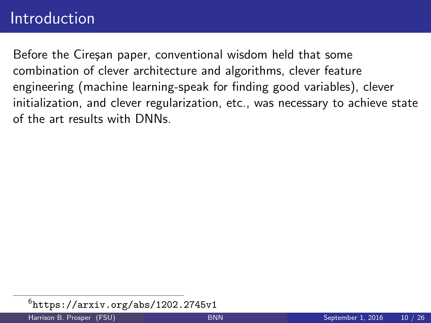Before the Ciresan paper, conventional wisdom held that some combination of clever architecture and algorithms, clever feature engineering (machine learning-speak for finding good variables), clever initialization, and clever regularization, etc., was necessary to achieve state of the art results with DNNs.

 $^6$ <https://arxiv.org/abs/1202.2745v1>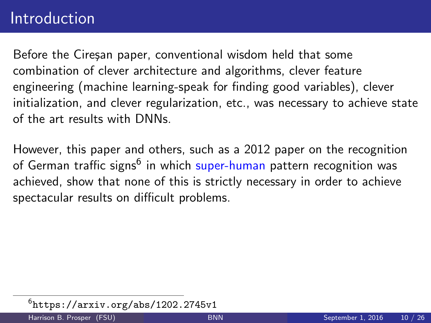Before the Ciresan paper, conventional wisdom held that some combination of clever architecture and algorithms, clever feature engineering (machine learning-speak for finding good variables), clever initialization, and clever regularization, etc., was necessary to achieve state of the art results with DNNs.

However, this paper and others, such as a 2012 paper on the recognition of German traffic signs<sup>6</sup> in which super-human pattern recognition was achieved, show that none of this is strictly necessary in order to achieve spectacular results on difficult problems.

 $^6$ <https://arxiv.org/abs/1202.2745v1>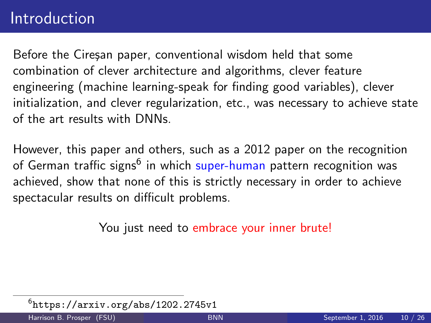Before the Ciresan paper, conventional wisdom held that some combination of clever architecture and algorithms, clever feature engineering (machine learning-speak for finding good variables), clever initialization, and clever regularization, etc., was necessary to achieve state of the art results with DNNs.

However, this paper and others, such as a 2012 paper on the recognition of German traffic signs<sup>6</sup> in which super-human pattern recognition was achieved, show that none of this is strictly necessary in order to achieve spectacular results on difficult problems.

You just need to embrace your inner brute!

 $^6$ <https://arxiv.org/abs/1202.2745v1>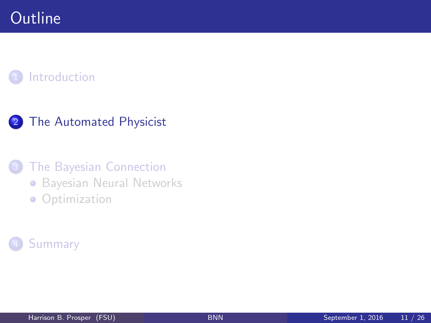#### 2 [The Automated Physicist](#page-18-0)

#### **[The Bayesian Connection](#page-34-0)**

- **[Bayesian Neural Networks](#page-37-0)**
- <span id="page-18-0"></span>**•** [Optimization](#page-42-0)

## **[Summary](#page-44-0)**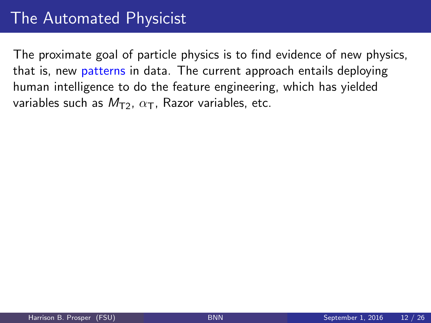The proximate goal of particle physics is to find evidence of new physics, that is, new patterns in data. The current approach entails deploying human intelligence to do the feature engineering, which has yielded variables such as  $M_{T2}$ ,  $\alpha_{T}$ , Razor variables, etc.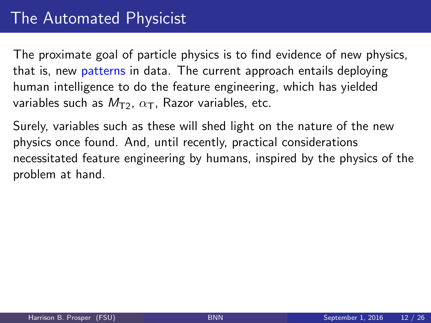The proximate goal of particle physics is to find evidence of new physics, that is, new patterns in data. The current approach entails deploying human intelligence to do the feature engineering, which has yielded variables such as  $M_{T2}$ ,  $\alpha_{T}$ , Razor variables, etc.

Surely, variables such as these will shed light on the nature of the new physics once found. And, until recently, practical considerations necessitated feature engineering by humans, inspired by the physics of the problem at hand.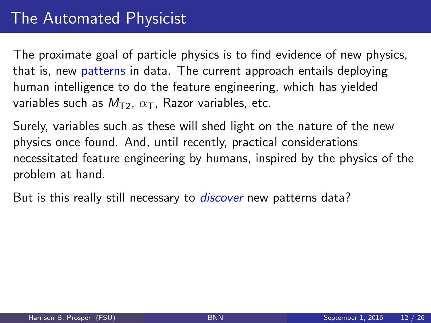The proximate goal of particle physics is to find evidence of new physics, that is, new patterns in data. The current approach entails deploying human intelligence to do the feature engineering, which has yielded variables such as  $M_{\text{T2}}$ ,  $\alpha_{\text{T}}$ , Razor variables, etc.

Surely, variables such as these will shed light on the nature of the new physics once found. And, until recently, practical considerations necessitated feature engineering by humans, inspired by the physics of the problem at hand.

But is this really still necessary to *discover* new patterns data?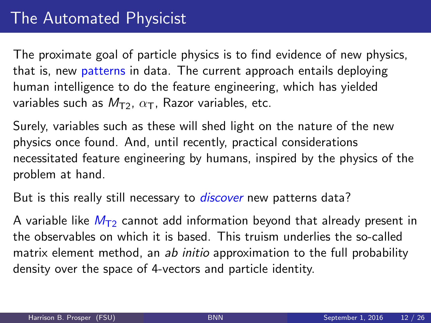The proximate goal of particle physics is to find evidence of new physics, that is, new patterns in data. The current approach entails deploying human intelligence to do the feature engineering, which has yielded variables such as  $M_{\text{T2}}$ ,  $\alpha_{\text{T}}$ , Razor variables, etc.

Surely, variables such as these will shed light on the nature of the new physics once found. And, until recently, practical considerations necessitated feature engineering by humans, inspired by the physics of the problem at hand.

But is this really still necessary to *discover* new patterns data?

A variable like  $M_{T2}$  cannot add information beyond that already present in the observables on which it is based. This truism underlies the so-called matrix element method, an ab initio approximation to the full probability density over the space of 4-vectors and particle identity.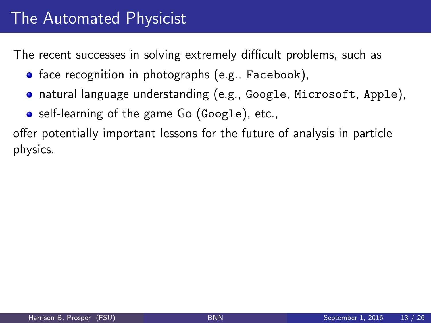The recent successes in solving extremely difficult problems, such as

- **o** face recognition in photographs (e.g., Facebook),
- natural language understanding (e.g., Google, Microsoft, Apple),
- **o** self-learning of the game Go (Google), etc.,

offer potentially important lessons for the future of analysis in particle physics.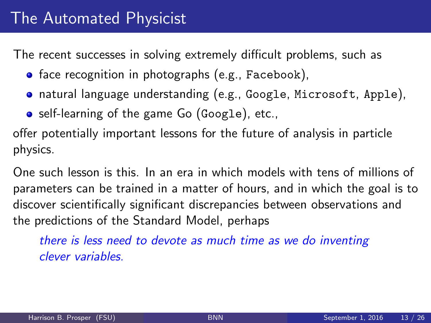The recent successes in solving extremely difficult problems, such as

- **o** face recognition in photographs (e.g., Facebook),
- natural language understanding (e.g., Google, Microsoft, Apple),
- **o** self-learning of the game Go (Google), etc.,

offer potentially important lessons for the future of analysis in particle physics.

One such lesson is this. In an era in which models with tens of millions of parameters can be trained in a matter of hours, and in which the goal is to discover scientifically significant discrepancies between observations and the predictions of the Standard Model, perhaps

there is less need to devote as much time as we do inventing clever variables.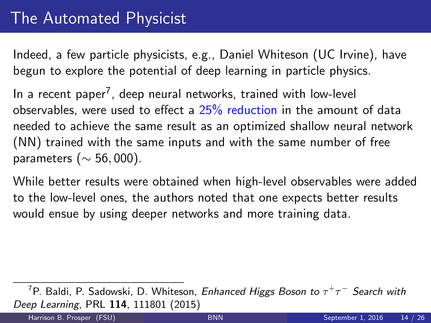Indeed, a few particle physicists, e.g., Daniel Whiteson (UC Irvine), have begun to explore the potential of deep learning in particle physics.

In a recent paper<sup>7</sup> , deep neural networks, trained with low-level observables, were used to effect a  $25\%$  reduction in the amount of data needed to achieve the same result as an optimized shallow neural network (NN) trained with the same inputs and with the same number of free parameters ( $\sim$  56, 000).

While better results were obtained when high-level observables were added to the low-level ones, the authors noted that one expects better results would ensue by using deeper networks and more training data.

 $^7$ P. Baldi, P. Sadowski, D. Whiteson, *Enhanced Higgs Boson to*  $\tau^+\tau^-$  *Search with* Deep Learning, PRL 114, 111801 (2015)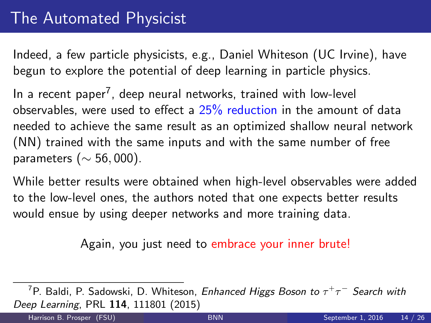Indeed, a few particle physicists, e.g., Daniel Whiteson (UC Irvine), have begun to explore the potential of deep learning in particle physics.

In a recent paper<sup>7</sup> , deep neural networks, trained with low-level observables, were used to effect a  $25\%$  reduction in the amount of data needed to achieve the same result as an optimized shallow neural network (NN) trained with the same inputs and with the same number of free parameters ( $\sim$  56, 000).

While better results were obtained when high-level observables were added to the low-level ones, the authors noted that one expects better results would ensue by using deeper networks and more training data.

Again, you just need to embrace your inner brute!

 $^7$ P. Baldi, P. Sadowski, D. Whiteson, *Enhanced Higgs Boson to*  $\tau^+\tau^-$  *Search with* Deep Learning, PRL 114, 111801 (2015)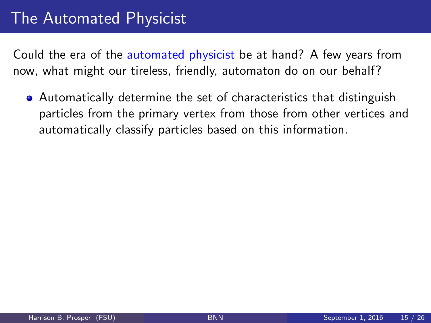Could the era of the automated physicist be at hand? A few years from now, what might our tireless, friendly, automaton do on our behalf?

Automatically determine the set of characteristics that distinguish particles from the primary vertex from those from other vertices and automatically classify particles based on this information.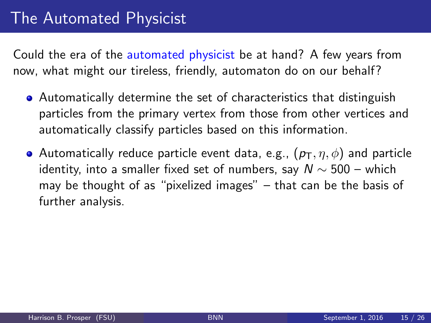- Automatically determine the set of characteristics that distinguish particles from the primary vertex from those from other vertices and automatically classify particles based on this information.
- Automatically reduce particle event data, e.g.,  $(p_T, \eta, \phi)$  and particle identity, into a smaller fixed set of numbers, say  $N \sim 500$  – which may be thought of as "pixelized images" – that can be the basis of further analysis.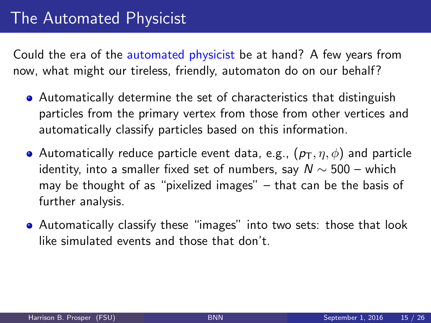- Automatically determine the set of characteristics that distinguish particles from the primary vertex from those from other vertices and automatically classify particles based on this information.
- Automatically reduce particle event data, e.g.,  $(p_T, \eta, \phi)$  and particle identity, into a smaller fixed set of numbers, say  $N \sim 500$  – which may be thought of as "pixelized images" – that can be the basis of further analysis.
- Automatically classify these "images" into two sets: those that look like simulated events and those that don't.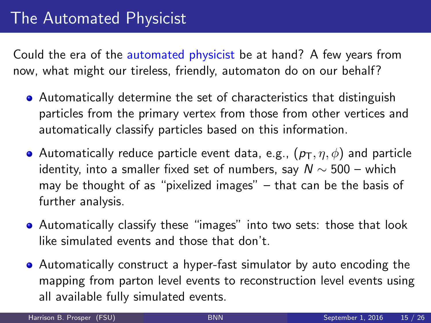- Automatically determine the set of characteristics that distinguish particles from the primary vertex from those from other vertices and automatically classify particles based on this information.
- Automatically reduce particle event data, e.g.,  $(p_T, \eta, \phi)$  and particle identity, into a smaller fixed set of numbers, say  $N \sim 500$  – which may be thought of as "pixelized images" – that can be the basis of further analysis.
- Automatically classify these "images" into two sets: those that look like simulated events and those that don't.
- Automatically construct a hyper-fast simulator by auto encoding the mapping from parton level events to reconstruction level events using all available fully simulated events.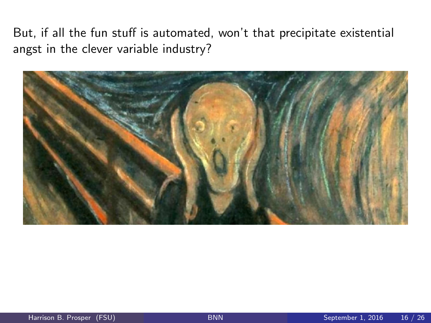But, if all the fun stuff is automated, won't that precipitate existential angst in the clever variable industry?

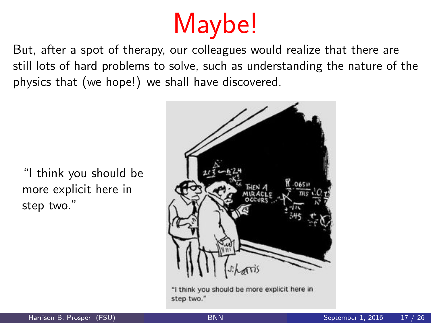# Maybe!

But, after a spot of therapy, our colleagues would realize that there are still lots of hard problems to solve, such as understanding the nature of the physics that (we hope!) we shall have discovered.

"I think you should be more explicit here in step two."



step two."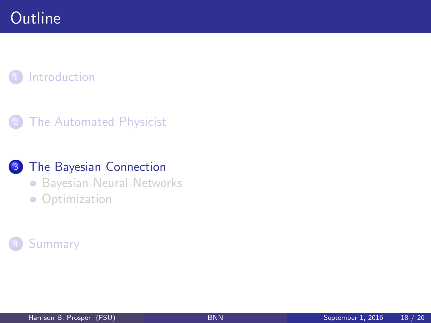#### **[The Automated Physicist](#page-18-0)**

#### 3 [The Bayesian Connection](#page-34-0)

- **[Bayesian Neural Networks](#page-37-0)**
- <span id="page-34-0"></span>**•** [Optimization](#page-42-0)

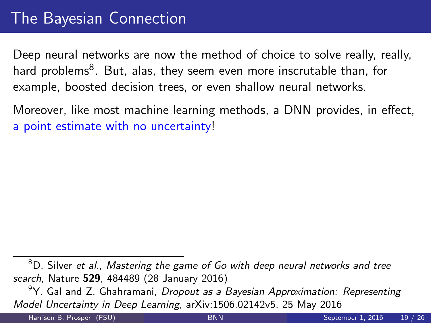Deep neural networks are now the method of choice to solve really, really, hard problems<sup>8</sup>. But, alas, they seem even more inscrutable than, for example, boosted decision trees, or even shallow neural networks.

Moreover, like most machine learning methods, a DNN provides, in effect, a point estimate with no uncertainty!

 $8D$ . Silver et al., Mastering the game of Go with deep neural networks and tree search, Nature 529, 484489 (28 January 2016)

 $9Y$ . Gal and Z. Ghahramani, Dropout as a Bayesian Approximation: Representing Model Uncertainty in Deep Learning, arXiv:1506.02142v5, 25 May 2016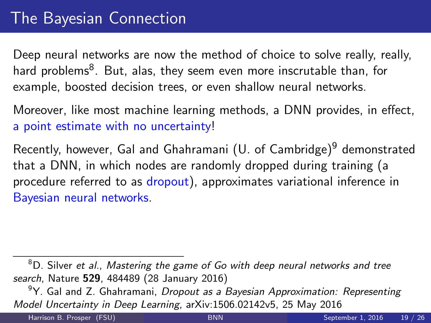Deep neural networks are now the method of choice to solve really, really, hard problems<sup>8</sup>. But, alas, they seem even more inscrutable than, for example, boosted decision trees, or even shallow neural networks.

Moreover, like most machine learning methods, a DNN provides, in effect, a point estimate with no uncertainty!

Recently, however, Gal and Ghahramani (U. of Cambridge)<sup>9</sup> demonstrated that a DNN, in which nodes are randomly dropped during training (a procedure referred to as dropout), approximates variational inference in Bayesian neural networks.

 $8D$ . Silver et al., Mastering the game of Go with deep neural networks and tree search, Nature 529, 484489 (28 January 2016)

 $9Y$ . Gal and Z. Ghahramani, Dropout as a Bayesian Approximation: Representing Model Uncertainty in Deep Learning, arXiv:1506.02142v5, 25 May 2016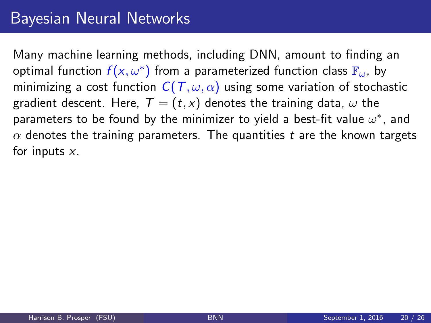<span id="page-37-0"></span>Many machine learning methods, including DNN, amount to finding an optimal function  $f({\mathsf x},\omega^*)$  from a parameterized function class  ${\mathbb F}_\omega$ , by minimizing a cost function  $C(T, \omega, \alpha)$  using some variation of stochastic gradient descent. Here,  $T = (t, x)$  denotes the training data,  $\omega$  the parameters to be found by the minimizer to yield a best-fit value  $\omega^*$ , and  $\alpha$  denotes the training parameters. The quantities t are the known targets for inputs  $x$ .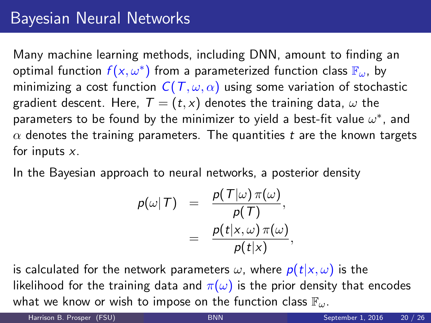Many machine learning methods, including DNN, amount to finding an optimal function  $f({\mathsf x},\omega^*)$  from a parameterized function class  ${\mathbb F}_\omega$ , by minimizing a cost function  $C(T, \omega, \alpha)$  using some variation of stochastic gradient descent. Here,  $T = (t, x)$  denotes the training data,  $\omega$  the parameters to be found by the minimizer to yield a best-fit value  $\omega^*$ , and  $\alpha$  denotes the training parameters. The quantities t are the known targets for inputs  $x$ .

In the Bayesian approach to neural networks, a posterior density

$$
p(\omega | T) = \frac{p(T|\omega)\,\pi(\omega)}{p(T)},
$$
  
= 
$$
\frac{p(t|x,\omega)\,\pi(\omega)}{p(t|x)},
$$

is calculated for the network parameters  $\omega$ , where  $p(t|x, \omega)$  is the likelihood for the training data and  $\pi(\omega)$  is the prior density that encodes what we know or wish to impose on the function class  $\mathbb{F}_{\omega}$ .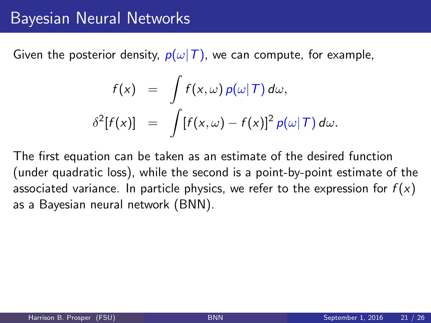Given the posterior density,  $p(\omega | T)$ , we can compute, for example,

$$
f(x) = \int f(x, \omega) p(\omega | \mathcal{T}) d\omega,
$$
  

$$
\delta^{2}[f(x)] = \int [f(x, \omega) - f(x)]^{2} p(\omega | \mathcal{T}) d\omega.
$$

The first equation can be taken as an estimate of the desired function (under quadratic loss), while the second is a point-by-point estimate of the associated variance. In particle physics, we refer to the expression for  $f(x)$ as a Bayesian neural network (BNN).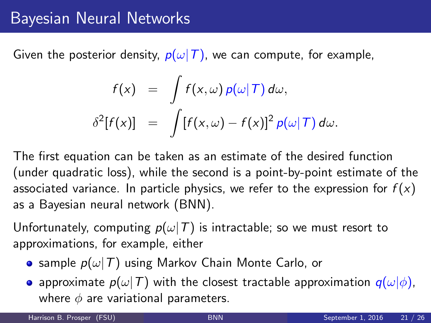Given the posterior density,  $p(\omega | T)$ , we can compute, for example,

$$
f(x) = \int f(x, \omega) p(\omega | \mathcal{T}) d\omega,
$$
  

$$
\delta^{2}[f(x)] = \int [f(x, \omega) - f(x)]^{2} p(\omega | \mathcal{T}) d\omega.
$$

The first equation can be taken as an estimate of the desired function (under quadratic loss), while the second is a point-by-point estimate of the associated variance. In particle physics, we refer to the expression for  $f(x)$ as a Bayesian neural network (BNN).

Unfortunately, computing  $p(\omega|\mathcal{T})$  is intractable; so we must resort to approximations, for example, either

- sample  $p(\omega | T)$  using Markov Chain Monte Carlo, or
- approximate  $p(\omega|\mathcal{T})$  with the closest tractable approximation  $q(\omega|\phi)$ , where  $\phi$  are variational parameters.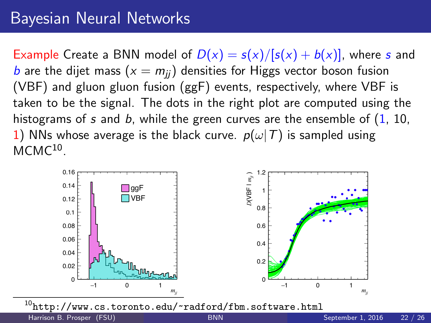Example Create a BNN model of  $D(x) = s(x)/[s(x) + b(x)]$ , where s and **b** are the dijet mass  $(x = m_{ii})$  densities for Higgs vector boson fusion (VBF) and gluon gluon fusion (ggF) events, respectively, where VBF is taken to be the signal. The dots in the right plot are computed using the histograms of s and b, while the green curves are the ensemble of  $(1, 10, 10)$ 1) NNs whose average is the black curve.  $p(\omega|T)$  is sampled using  $MCMC<sup>10</sup>$ .



 $\frac{10}{\text{http://www.cs.toronto.edu/~radford/fbm.software.html}}$  $\frac{10}{\text{http://www.cs.toronto.edu/~radford/fbm.software.html}}$  $\frac{10}{\text{http://www.cs.toronto.edu/~radford/fbm.software.html}}$ <br>Harrison B. Prosper (FSU) BMN BMN September 1, 2016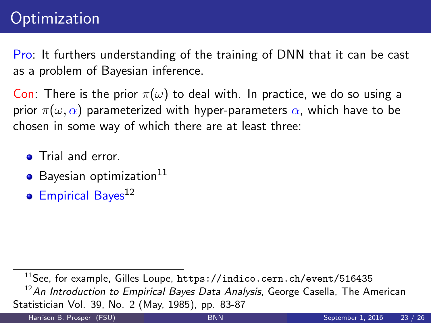# **Optimization**

Pro: It furthers understanding of the training of DNN that it can be cast as a problem of Bayesian inference.

Con: There is the prior  $\pi(\omega)$  to deal with. In practice, we do so using a prior  $\pi(\omega, \alpha)$  parameterized with hyper-parameters  $\alpha$ , which have to be chosen in some way of which there are at least three:

- **o** Trial and error.
- $\bullet$  Bayesian optimization<sup>11</sup>
- $\bullet$  Empirical Bayes<sup>12</sup>

<span id="page-42-0"></span><sup>11</sup>See, for example, Gilles Loupe, <https://indico.cern.ch/event/516435>  $12$ An Introduction to Empirical Bayes Data Analysis, George Casella, The American Statistician Vol. 39, No. 2 (May, 1985), pp. 83-87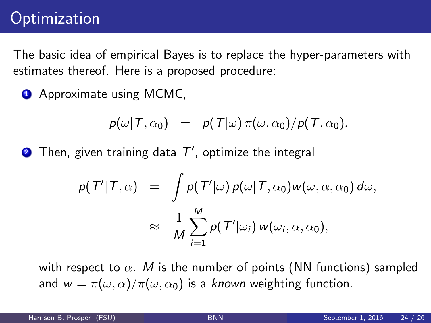The basic idea of empirical Bayes is to replace the hyper-parameters with estimates thereof. Here is a proposed procedure:

**1** Approximate using MCMC,

$$
p(\omega | T, \alpha_0) = p(T | \omega) \pi(\omega, \alpha_0) / p(T, \alpha_0).
$$

 $\bullet$  Then, given training data  $\mathcal{T}'$ , optimize the integral

$$
p(T'|T,\alpha) = \int p(T'|\omega) p(\omega|T,\alpha_0) w(\omega,\alpha,\alpha_0) d\omega,
$$
  

$$
\approx \frac{1}{M} \sum_{i=1}^{M} p(T'|\omega_i) w(\omega_i,\alpha,\alpha_0),
$$

with respect to  $\alpha$ . M is the number of points (NN functions) sampled and  $w = \pi(\omega, \alpha)/\pi(\omega, \alpha_0)$  is a known weighting function.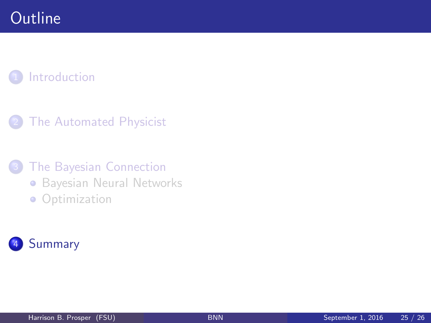#### [The Automated Physicist](#page-18-0)

#### **[The Bayesian Connection](#page-34-0)**

- **[Bayesian Neural Networks](#page-37-0)**
- <span id="page-44-0"></span>**•** [Optimization](#page-42-0)